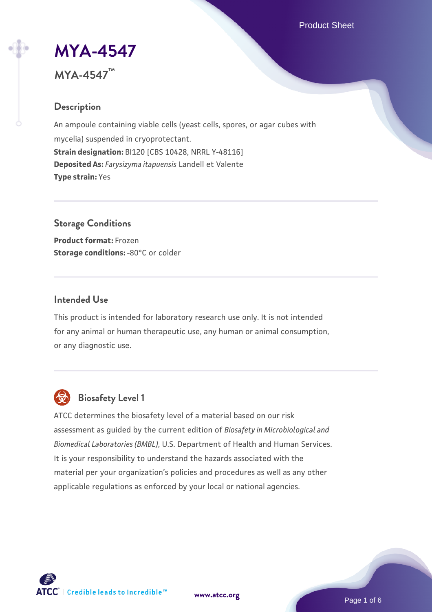Product Sheet

# **[MYA-4547](https://www.atcc.org/products/mya-4547)**

# **MYA-4547™**

# **Description**

An ampoule containing viable cells (yeast cells, spores, or agar cubes with mycelia) suspended in cryoprotectant. **Strain designation:** BI120 [CBS 10428, NRRL Y-48116] **Deposited As:** *Farysizyma itapuensis* Landell et Valente **Type strain:** Yes

**Storage Conditions Product format:** Frozen **Storage conditions: -80°C or colder** 

#### **Intended Use**

This product is intended for laboratory research use only. It is not intended for any animal or human therapeutic use, any human or animal consumption, or any diagnostic use.



# **Biosafety Level 1**

ATCC determines the biosafety level of a material based on our risk assessment as guided by the current edition of *Biosafety in Microbiological and Biomedical Laboratories (BMBL)*, U.S. Department of Health and Human Services. It is your responsibility to understand the hazards associated with the material per your organization's policies and procedures as well as any other applicable regulations as enforced by your local or national agencies.



**[www.atcc.org](http://www.atcc.org)**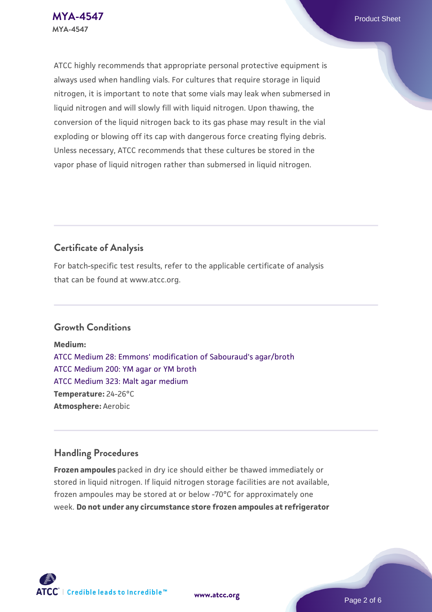ATCC highly recommends that appropriate personal protective equipment is always used when handling vials. For cultures that require storage in liquid nitrogen, it is important to note that some vials may leak when submersed in liquid nitrogen and will slowly fill with liquid nitrogen. Upon thawing, the conversion of the liquid nitrogen back to its gas phase may result in the vial exploding or blowing off its cap with dangerous force creating flying debris. Unless necessary, ATCC recommends that these cultures be stored in the vapor phase of liquid nitrogen rather than submersed in liquid nitrogen.

# **Certificate of Analysis**

For batch-specific test results, refer to the applicable certificate of analysis that can be found at www.atcc.org.

## **Growth Conditions**

**Medium:**  [ATCC Medium 28: Emmons' modification of Sabouraud's agar/broth](https://www.atcc.org/-/media/product-assets/documents/microbial-media-formulations/2/8/atcc-medium-28.pdf?rev=0da0c58cc2a343eeae735016b70809bb) [ATCC Medium 200: YM agar or YM broth](https://www.atcc.org/-/media/product-assets/documents/microbial-media-formulations/2/0/0/atcc-medium-200.pdf?rev=ac40fd74dc13433a809367b0b9da30fc) [ATCC Medium 323: Malt agar medium](https://www.atcc.org/-/media/product-assets/documents/microbial-media-formulations/3/2/3/atcc-medium-323.pdf?rev=58d6457ee20149d7a1c844947569ef92) **Temperature:** 24-26°C **Atmosphere:** Aerobic

## **Handling Procedures**

**Frozen ampoules** packed in dry ice should either be thawed immediately or stored in liquid nitrogen. If liquid nitrogen storage facilities are not available, frozen ampoules may be stored at or below -70°C for approximately one week. **Do not under any circumstance store frozen ampoules at refrigerator**



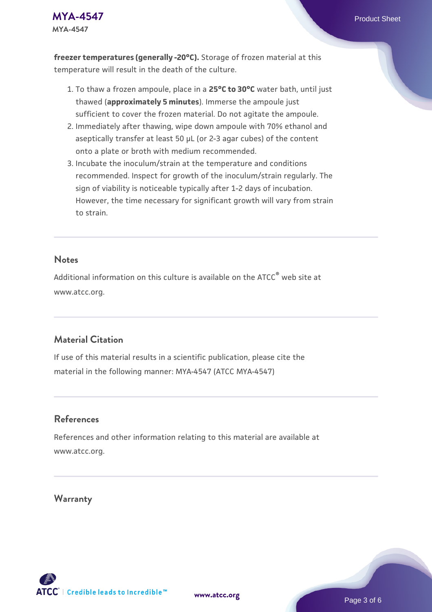

**freezer temperatures (generally -20°C).** Storage of frozen material at this temperature will result in the death of the culture.

- 1. To thaw a frozen ampoule, place in a **25°C to 30°C** water bath, until just thawed (**approximately 5 minutes**). Immerse the ampoule just sufficient to cover the frozen material. Do not agitate the ampoule.
- 2. Immediately after thawing, wipe down ampoule with 70% ethanol and aseptically transfer at least 50 µL (or 2-3 agar cubes) of the content onto a plate or broth with medium recommended.
- 3. Incubate the inoculum/strain at the temperature and conditions recommended. Inspect for growth of the inoculum/strain regularly. The sign of viability is noticeable typically after 1-2 days of incubation. However, the time necessary for significant growth will vary from strain to strain.

#### **Notes**

Additional information on this culture is available on the ATCC<sup>®</sup> web site at www.atcc.org.

#### **Material Citation**

If use of this material results in a scientific publication, please cite the material in the following manner: MYA-4547 (ATCC MYA-4547)

#### **References**

References and other information relating to this material are available at www.atcc.org.

#### **Warranty**



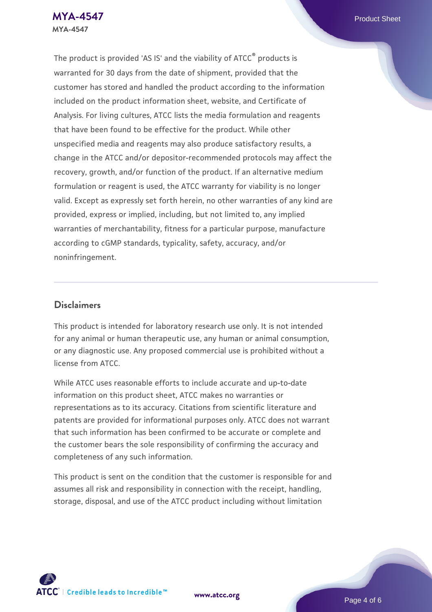The product is provided 'AS IS' and the viability of ATCC® products is warranted for 30 days from the date of shipment, provided that the customer has stored and handled the product according to the information included on the product information sheet, website, and Certificate of Analysis. For living cultures, ATCC lists the media formulation and reagents that have been found to be effective for the product. While other unspecified media and reagents may also produce satisfactory results, a change in the ATCC and/or depositor-recommended protocols may affect the recovery, growth, and/or function of the product. If an alternative medium formulation or reagent is used, the ATCC warranty for viability is no longer valid. Except as expressly set forth herein, no other warranties of any kind are provided, express or implied, including, but not limited to, any implied warranties of merchantability, fitness for a particular purpose, manufacture according to cGMP standards, typicality, safety, accuracy, and/or noninfringement.

#### **Disclaimers**

This product is intended for laboratory research use only. It is not intended for any animal or human therapeutic use, any human or animal consumption, or any diagnostic use. Any proposed commercial use is prohibited without a license from ATCC.

While ATCC uses reasonable efforts to include accurate and up-to-date information on this product sheet, ATCC makes no warranties or representations as to its accuracy. Citations from scientific literature and patents are provided for informational purposes only. ATCC does not warrant that such information has been confirmed to be accurate or complete and the customer bears the sole responsibility of confirming the accuracy and completeness of any such information.

This product is sent on the condition that the customer is responsible for and assumes all risk and responsibility in connection with the receipt, handling, storage, disposal, and use of the ATCC product including without limitation



**[www.atcc.org](http://www.atcc.org)**

Page 4 of 6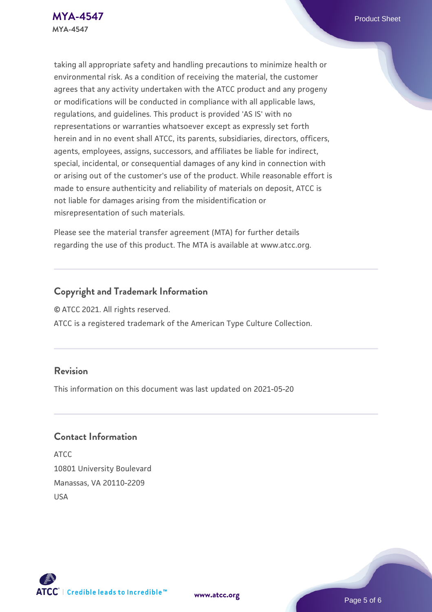taking all appropriate safety and handling precautions to minimize health or environmental risk. As a condition of receiving the material, the customer agrees that any activity undertaken with the ATCC product and any progeny or modifications will be conducted in compliance with all applicable laws, regulations, and guidelines. This product is provided 'AS IS' with no representations or warranties whatsoever except as expressly set forth herein and in no event shall ATCC, its parents, subsidiaries, directors, officers, agents, employees, assigns, successors, and affiliates be liable for indirect, special, incidental, or consequential damages of any kind in connection with or arising out of the customer's use of the product. While reasonable effort is made to ensure authenticity and reliability of materials on deposit, ATCC is not liable for damages arising from the misidentification or misrepresentation of such materials.

Please see the material transfer agreement (MTA) for further details regarding the use of this product. The MTA is available at www.atcc.org.

# **Copyright and Trademark Information**

© ATCC 2021. All rights reserved.

ATCC is a registered trademark of the American Type Culture Collection.

#### **Revision**

This information on this document was last updated on 2021-05-20

### **Contact Information**

ATCC 10801 University Boulevard Manassas, VA 20110-2209 USA